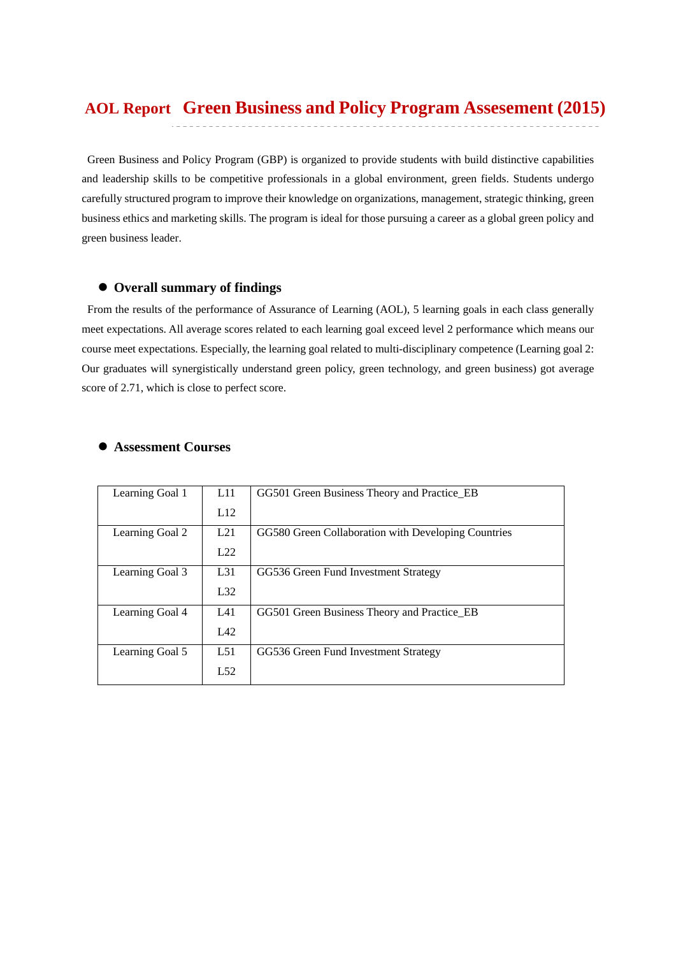# **Green Business and Policy Program Assesement (2015) AOL Report**

Green Business and Policy Program (GBP) is organized to provide students with build distinctive capabilities and leadership skills to be competitive professionals in a global environment, green fields. Students undergo carefully structured program to improve their knowledge on organizations, management, strategic thinking, green business ethics and marketing skills. The program is ideal for those pursuing a career as a global green policy and green business leader.

### **Overall summary of findings**

 From the results of the performance of Assurance of Learning (AOL), 5 learning goals in each class generally meet expectations. All average scores related to each learning goal exceed level 2 performance which means our course meet expectations. Especially, the learning goal related to multi-disciplinary competence (Learning goal 2: Our graduates will synergistically understand green policy, green technology, and green business) got average score of 2.71, which is close to perfect score.

#### **Assessment Courses**

| Learning Goal 1 | L11 | GG501 Green Business Theory and Practice_EB         |
|-----------------|-----|-----------------------------------------------------|
|                 | L12 |                                                     |
| Learning Goal 2 | L21 | GG580 Green Collaboration with Developing Countries |
|                 | L22 |                                                     |
| Learning Goal 3 | L31 | GG536 Green Fund Investment Strategy                |
|                 | L32 |                                                     |
| Learning Goal 4 | L41 | GG501 Green Business Theory and Practice_EB         |
|                 | L42 |                                                     |
| Learning Goal 5 | L51 | GG536 Green Fund Investment Strategy                |
|                 | L52 |                                                     |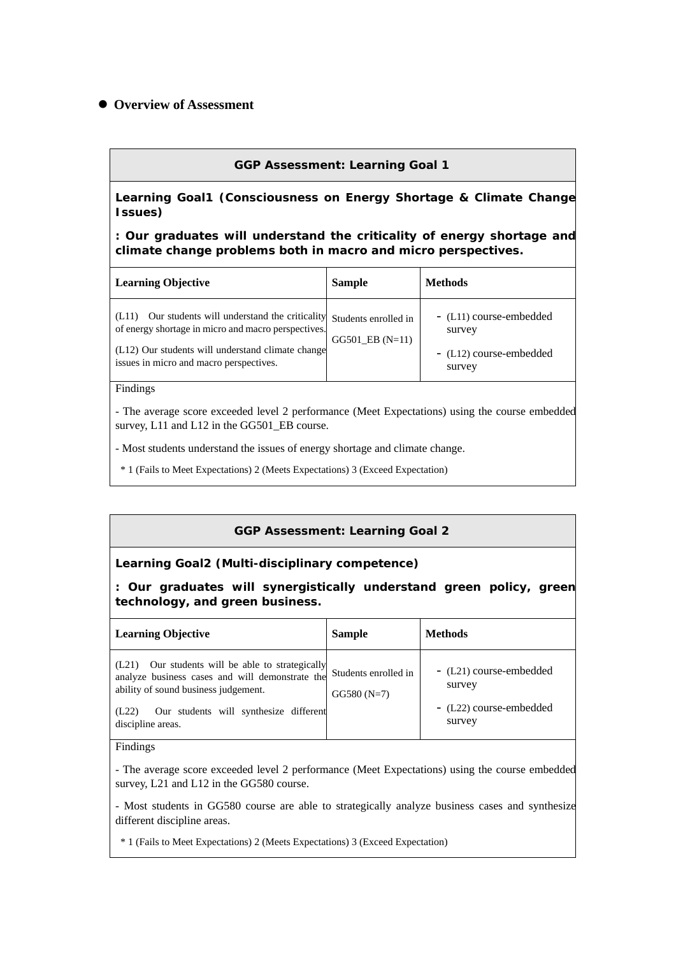# **Overview of Assessment**

#### **GGP Assessment: Learning Goal 1**

**Learning Goal1 (Consciousness on Energy Shortage & Climate Change Issues)** 

**: Our graduates will understand the criticality of energy shortage and climate change problems both in macro and micro perspectives.** 

| <b>Learning Objective</b>                                                                                                                                                                                                         | <b>Sample</b>       | <b>Methods</b>                                                         |
|-----------------------------------------------------------------------------------------------------------------------------------------------------------------------------------------------------------------------------------|---------------------|------------------------------------------------------------------------|
| Our students will understand the criticality Students enrolled in<br>(L11)<br>of energy shortage in micro and macro perspectives.<br>(L12) Our students will understand climate change<br>issues in micro and macro perspectives. | $GG501$ EB $(N=11)$ | - (L11) course-embedded<br>survey<br>- (L12) course-embedded<br>survey |

#### Findings

- The average score exceeded level 2 performance (Meet Expectations) using the course embedded survey, L11 and L12 in the GG501\_EB course.

- Most students understand the issues of energy shortage and climate change.

\* 1 (Fails to Meet Expectations) 2 (Meets Expectations) 3 (Exceed Expectation)

#### **GGP Assessment: Learning Goal 2**

#### **Learning Goal2 (Multi-disciplinary competence)**

**: Our graduates will synergistically understand green policy, green technology, and green business.** 

| <b>Learning Objective</b>                                                                                                                                                                                           | <b>Sample</b>                        | <b>Methods</b>                                                         |
|---------------------------------------------------------------------------------------------------------------------------------------------------------------------------------------------------------------------|--------------------------------------|------------------------------------------------------------------------|
| (L21) Our students will be able to strategically<br>analyze business cases and will demonstrate the<br>ability of sound business judgement.<br>Our students will synthesize different<br>(L22)<br>discipline areas. | Students enrolled in<br>$GG580(N=7)$ | - (L21) course-embedded<br>survey<br>- (L22) course-embedded<br>survey |

#### Findings

- The average score exceeded level 2 performance (Meet Expectations) using the course embedded survey, L21 and L12 in the GG580 course.

- Most students in GG580 course are able to strategically analyze business cases and synthesize different discipline areas.

\* 1 (Fails to Meet Expectations) 2 (Meets Expectations) 3 (Exceed Expectation)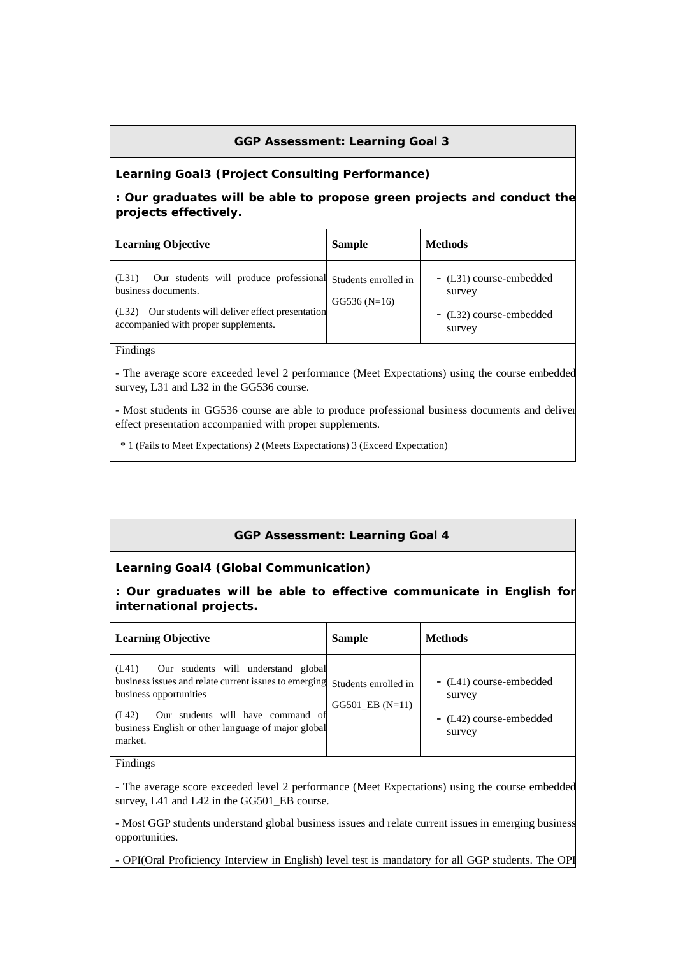# **GGP Assessment: Learning Goal 3**

### **Learning Goal3 (Project Consulting Performance)**

# **: Our graduates will be able to propose green projects and conduct the projects effectively.**

| <b>Learning Objective</b>                                                                                                                                                                     | <b>Sample</b> | <b>Methods</b>                                                         |
|-----------------------------------------------------------------------------------------------------------------------------------------------------------------------------------------------|---------------|------------------------------------------------------------------------|
| Our students will produce professional Students enrolled in<br>(L31)<br>business documents.<br>Our students will deliver effect presentation<br>(L32)<br>accompanied with proper supplements. | $GG536(N=16)$ | - (L31) course-embedded<br>survey<br>- (L32) course-embedded<br>survey |

#### Findings

- The average score exceeded level 2 performance (Meet Expectations) using the course embedded survey, L31 and L32 in the GG536 course.

- Most students in GG536 course are able to produce professional business documents and deliver effect presentation accompanied with proper supplements.

\* 1 (Fails to Meet Expectations) 2 (Meets Expectations) 3 (Exceed Expectation)

# **GGP Assessment: Learning Goal 4**

#### **Learning Goal4 (Global Communication)**

**: Our graduates will be able to effective communicate in English for international projects.** 

| <b>Learning Objective</b>                                                                                                                                                                                                                                           | <b>Sample</b>       | <b>Methods</b>                                                         |
|---------------------------------------------------------------------------------------------------------------------------------------------------------------------------------------------------------------------------------------------------------------------|---------------------|------------------------------------------------------------------------|
| Our students will understand global<br>(L41)<br>business issues and relate current issues to emerging Students enrolled in<br>business opportunities<br>Our students will have command of<br>(L42)<br>business English or other language of major global<br>market. | $GG501$ EB $(N=11)$ | - (L41) course-embedded<br>survey<br>- (L42) course-embedded<br>survey |

### Findings

- The average score exceeded level 2 performance (Meet Expectations) using the course embedded survey, L41 and L42 in the GG501\_EB course.

- Most GGP students understand global business issues and relate current issues in emerging business opportunities.

- OPI(Oral Proficiency Interview in English) level test is mandatory for all GGP students. The OPI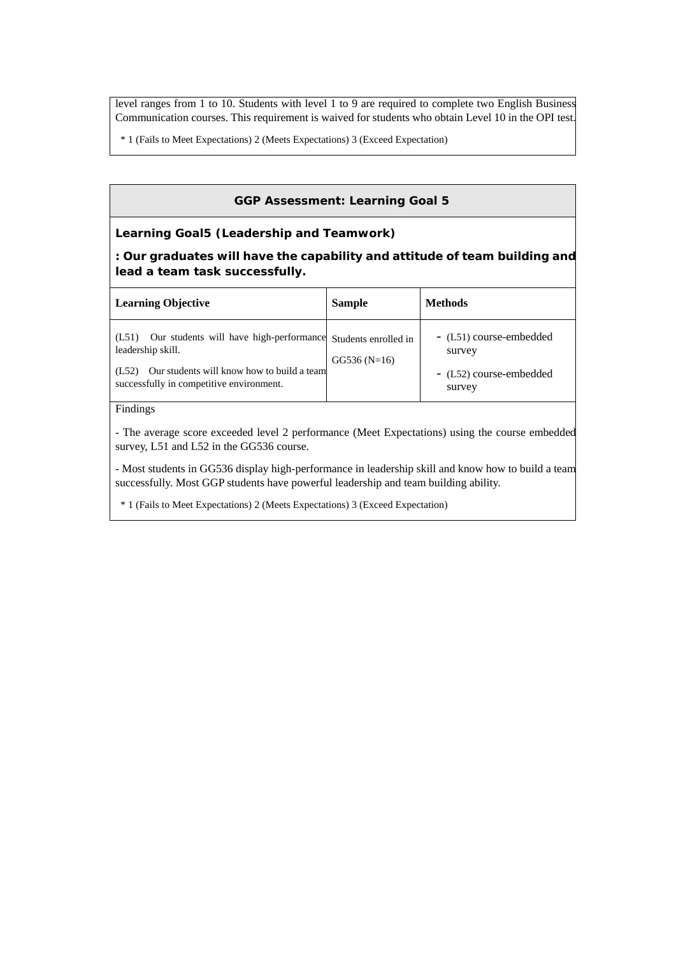level ranges from 1 to 10. Students with level 1 to 9 are required to complete two English Business Communication courses. This requirement is waived for students who obtain Level 10 in the OPI test.

\* 1 (Fails to Meet Expectations) 2 (Meets Expectations) 3 (Exceed Expectation)

### **GGP Assessment: Learning Goal 5**

#### **Learning Goal5 (Leadership and Teamwork)**

**: Our graduates will have the capability and attitude of team building and lead a team task successfully.** 

| <b>Learning Objective</b>                                                                                                                                                | <b>Sample</b>                         | <b>Methods</b>                                                         |
|--------------------------------------------------------------------------------------------------------------------------------------------------------------------------|---------------------------------------|------------------------------------------------------------------------|
| Our students will have high-performance<br>(L51)<br>leadership skill.<br>Our students will know how to build a team<br>(L52)<br>successfully in competitive environment. | Students enrolled in<br>$GG536(N=16)$ | - (L51) course-embedded<br>survey<br>- (L52) course-embedded<br>survey |

## Findings

- The average score exceeded level 2 performance (Meet Expectations) using the course embedded survey, L51 and L52 in the GG536 course.

- Most students in GG536 display high-performance in leadership skill and know how to build a team successfully. Most GGP students have powerful leadership and team building ability.

\* 1 (Fails to Meet Expectations) 2 (Meets Expectations) 3 (Exceed Expectation)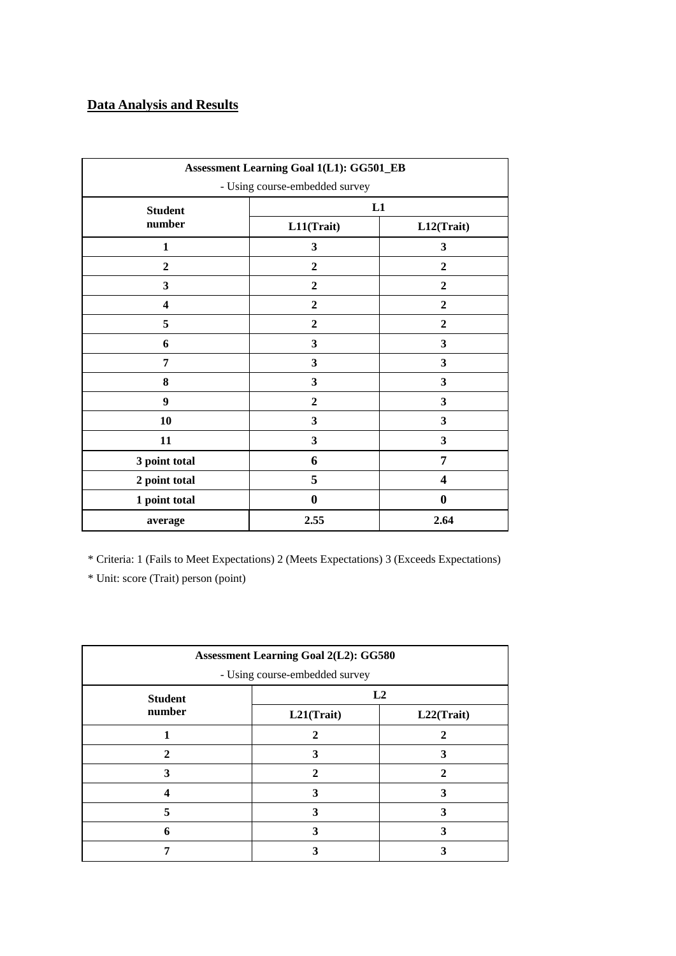# **Data Analysis and Results**

| Assessment Learning Goal 1(L1): GG501_EB |                  |                  |  |
|------------------------------------------|------------------|------------------|--|
| - Using course-embedded survey           |                  |                  |  |
| <b>Student</b>                           | L1               |                  |  |
| number                                   | L11(Trait)       | L12(Trait)       |  |
| 1                                        | 3                | 3                |  |
| $\boldsymbol{2}$                         | $\mathbf{2}$     | $\overline{2}$   |  |
| 3                                        | $\overline{2}$   | $\boldsymbol{2}$ |  |
| $\overline{\mathbf{4}}$                  | $\overline{2}$   | $\overline{2}$   |  |
| 5                                        | $\boldsymbol{2}$ | $\boldsymbol{2}$ |  |
| 6                                        | 3                | 3                |  |
| 7                                        | 3                | 3                |  |
| 8                                        | 3                | 3                |  |
| $\boldsymbol{9}$                         | $\mathbf{2}$     | 3                |  |
| 10                                       | 3                | 3                |  |
| 11                                       | 3                | $\mathbf{3}$     |  |
| 3 point total                            | 6                | 7                |  |
| 2 point total                            | 5                | 4                |  |
| 1 point total                            | $\boldsymbol{0}$ | $\bf{0}$         |  |
| average                                  | 2.55             | 2.64             |  |

\* Criteria: 1 (Fails to Meet Expectations) 2 (Meets Expectations) 3 (Exceeds Expectations)

| <b>Assessment Learning Goal 2(L2): GG580</b> |                                |            |  |  |
|----------------------------------------------|--------------------------------|------------|--|--|
|                                              | - Using course-embedded survey |            |  |  |
| <b>Student</b>                               | L2                             |            |  |  |
| number                                       | L21(Trait)                     | L22(Trait) |  |  |
|                                              | າ                              |            |  |  |
| $\mathbf{2}$                                 | 3                              | 3          |  |  |
| 3                                            | $\gamma$                       | 2          |  |  |
|                                              | 3                              |            |  |  |
|                                              | 3                              |            |  |  |
| 6                                            | 3                              |            |  |  |
|                                              |                                |            |  |  |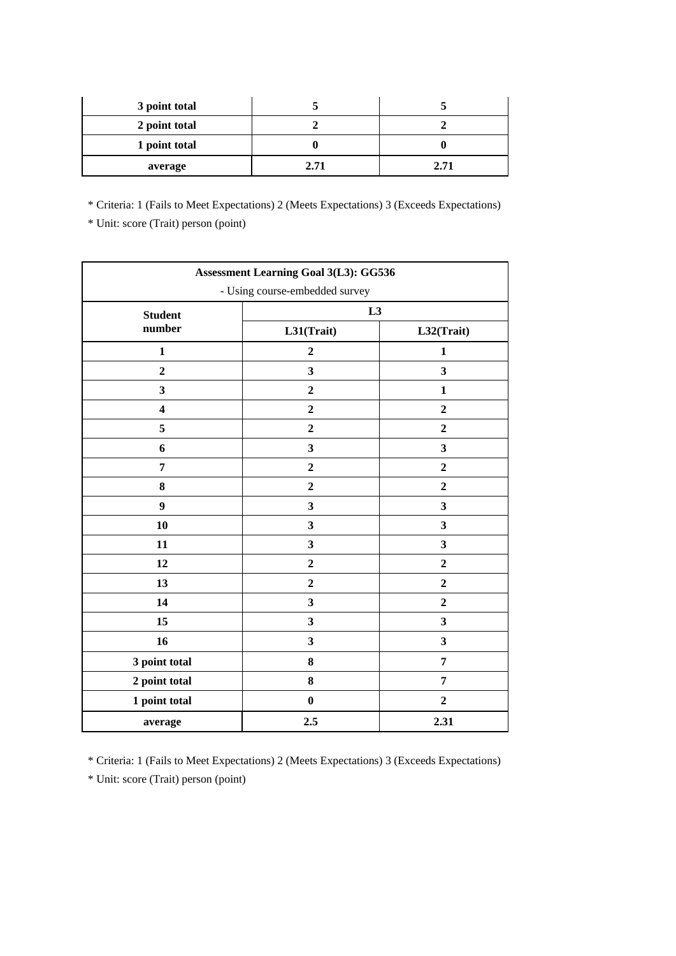| 3 point total |      |      |
|---------------|------|------|
| 2 point total |      |      |
| 1 point total |      |      |
| average       | 2.71 | 2.71 |

\* Criteria: 1 (Fails to Meet Expectations) 2 (Meets Expectations) 3 (Exceeds Expectations)

\* Unit: score (Trait) person (point)

| <b>Assessment Learning Goal 3(L3): GG536</b> |                         |                         |  |
|----------------------------------------------|-------------------------|-------------------------|--|
| - Using course-embedded survey               |                         |                         |  |
| <b>Student</b>                               | L3                      |                         |  |
| number                                       | L31(Trait)              | L32(Trait)              |  |
| $\mathbf{1}$                                 | $\overline{2}$          | $\mathbf{1}$            |  |
| $\boldsymbol{2}$                             | $\mathbf{3}$            | 3                       |  |
| $\mathbf{3}$                                 | $\overline{2}$          | $\mathbf{1}$            |  |
| $\overline{\mathbf{4}}$                      | $\boldsymbol{2}$        | $\boldsymbol{2}$        |  |
| 5                                            | $\boldsymbol{2}$        | $\overline{2}$          |  |
| 6                                            | $\mathbf{3}$            | 3                       |  |
| $\overline{7}$                               | $\boldsymbol{2}$        | $\overline{2}$          |  |
| 8                                            | $\overline{2}$          | $\overline{2}$          |  |
| $\boldsymbol{9}$                             | $\overline{\mathbf{3}}$ | $\overline{\mathbf{3}}$ |  |
| 10                                           | $\overline{\mathbf{3}}$ | $\overline{\mathbf{3}}$ |  |
| 11                                           | $\mathbf{3}$            | $\mathbf{3}$            |  |
| 12                                           | $\boldsymbol{2}$        | $\overline{2}$          |  |
| 13                                           | $\overline{2}$          | $\overline{2}$          |  |
| 14                                           | $\mathbf{3}$            | $\overline{2}$          |  |
| 15                                           | $\overline{\mathbf{3}}$ | $\overline{\mathbf{3}}$ |  |
| 16                                           | 3                       | $\overline{\mathbf{3}}$ |  |
| 3 point total                                | 8                       | 7                       |  |
| 2 point total                                | 8                       | $\overline{7}$          |  |
| 1 point total                                | $\boldsymbol{0}$        | $\mathbf{2}$            |  |
| average                                      | $2.5\,$                 | 2.31                    |  |

\* Criteria: 1 (Fails to Meet Expectations) 2 (Meets Expectations) 3 (Exceeds Expectations)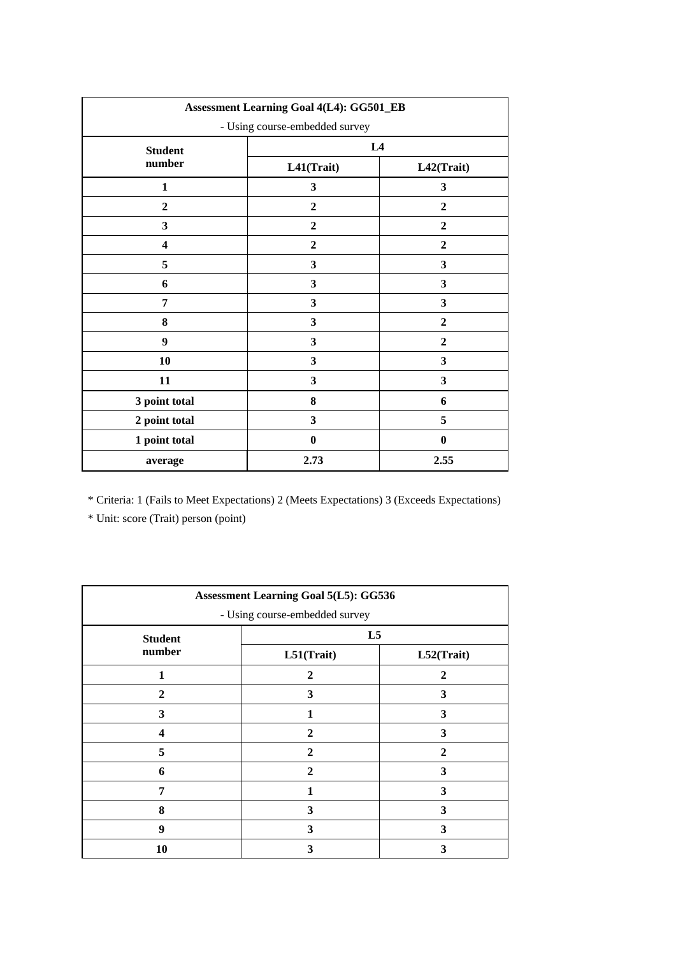| <b>Assessment Learning Goal 4(L4): GG501_EB</b> |                  |                  |  |
|-------------------------------------------------|------------------|------------------|--|
| - Using course-embedded survey                  |                  |                  |  |
| <b>Student</b>                                  | L4               |                  |  |
| number                                          | L41(Trait)       | L42(Trait)       |  |
| $\mathbf{1}$                                    | 3                | 3                |  |
| $\boldsymbol{2}$                                | $\mathbf{2}$     | $\overline{2}$   |  |
| 3                                               | $\mathbf{2}$     | $\overline{2}$   |  |
| $\overline{\mathbf{4}}$                         | $\boldsymbol{2}$ | $\boldsymbol{2}$ |  |
| 5                                               | 3                | 3                |  |
| 6                                               | 3                | 3                |  |
| 7                                               | 3                | 3                |  |
| 8                                               | $\mathbf{3}$     | $\overline{2}$   |  |
| $\boldsymbol{9}$                                | 3                | $\overline{2}$   |  |
| 10                                              | 3                | $\mathbf{3}$     |  |
| 11                                              | 3                | $\mathbf{3}$     |  |
| 3 point total                                   | ${\bf 8}$        | 6                |  |
| 2 point total                                   | 3                | 5                |  |
| 1 point total                                   | $\bf{0}$         | $\bf{0}$         |  |
| average                                         | 2.73             | 2.55             |  |

\* Criteria: 1 (Fails to Meet Expectations) 2 (Meets Expectations) 3 (Exceeds Expectations)

| <b>Assessment Learning Goal 5(L5): GG536</b> |                |              |  |  |
|----------------------------------------------|----------------|--------------|--|--|
| - Using course-embedded survey               |                |              |  |  |
| <b>Student</b>                               | L5             |              |  |  |
| number                                       | L51(Trait)     | L52(Trait)   |  |  |
|                                              | $\mathbf{2}$   | $\mathbf{2}$ |  |  |
| $\mathbf{2}$                                 | 3              | 3            |  |  |
| 3                                            |                | 3            |  |  |
| $\boldsymbol{4}$                             | $\mathbf{2}$   | 3            |  |  |
| 5                                            | $\mathbf{2}$   | $\mathbf{2}$ |  |  |
| 6                                            | $\overline{2}$ | 3            |  |  |
| 7                                            | 1              | 3            |  |  |
| 8                                            | 3              | 3            |  |  |
| $\boldsymbol{9}$                             | 3              | 3            |  |  |
| 10                                           | 3              | 3            |  |  |